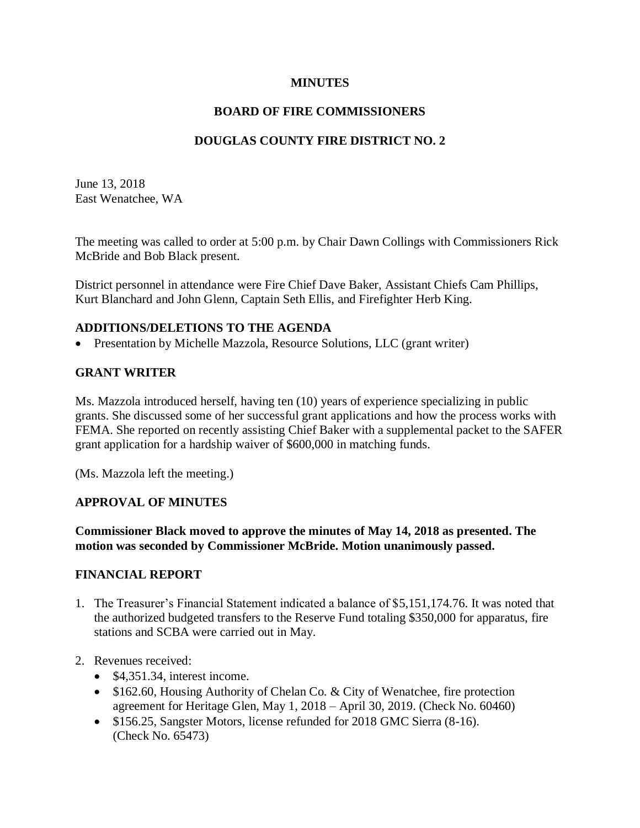### **MINUTES**

## **BOARD OF FIRE COMMISSIONERS**

## **DOUGLAS COUNTY FIRE DISTRICT NO. 2**

June 13, 2018 East Wenatchee, WA

The meeting was called to order at 5:00 p.m. by Chair Dawn Collings with Commissioners Rick McBride and Bob Black present.

District personnel in attendance were Fire Chief Dave Baker, Assistant Chiefs Cam Phillips, Kurt Blanchard and John Glenn, Captain Seth Ellis, and Firefighter Herb King.

#### **ADDITIONS/DELETIONS TO THE AGENDA**

• Presentation by Michelle Mazzola, Resource Solutions, LLC (grant writer)

## **GRANT WRITER**

Ms. Mazzola introduced herself, having ten (10) years of experience specializing in public grants. She discussed some of her successful grant applications and how the process works with FEMA. She reported on recently assisting Chief Baker with a supplemental packet to the SAFER grant application for a hardship waiver of \$600,000 in matching funds.

(Ms. Mazzola left the meeting.)

## **APPROVAL OF MINUTES**

**Commissioner Black moved to approve the minutes of May 14, 2018 as presented. The motion was seconded by Commissioner McBride. Motion unanimously passed.**

#### **FINANCIAL REPORT**

- 1. The Treasurer's Financial Statement indicated a balance of \$5,151,174.76. It was noted that the authorized budgeted transfers to the Reserve Fund totaling \$350,000 for apparatus, fire stations and SCBA were carried out in May.
- 2. Revenues received:
	- \$4,351.34, interest income.
	- \$162.60, Housing Authority of Chelan Co. & City of Wenatchee, fire protection agreement for Heritage Glen, May 1, 2018 – April 30, 2019. (Check No. 60460)
	- \$156.25, Sangster Motors, license refunded for 2018 GMC Sierra (8-16). (Check No. 65473)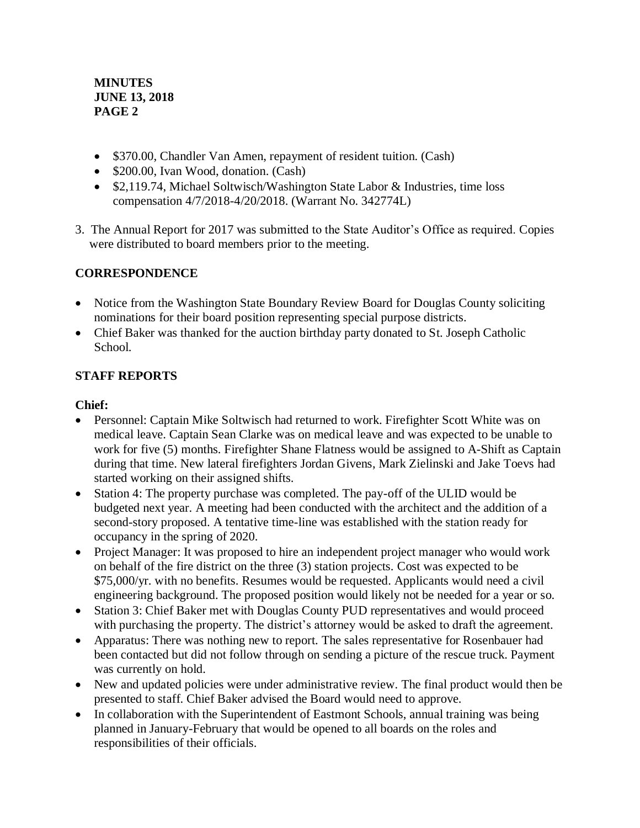## **MINUTES JUNE 13, 2018 PAGE 2**

- \$370.00, Chandler Van Amen, repayment of resident tuition. (Cash)
- \$200.00, Ivan Wood, donation. (Cash)
- \$2,119.74, Michael Soltwisch/Washington State Labor & Industries, time loss compensation 4/7/2018-4/20/2018. (Warrant No. 342774L)
- 3. The Annual Report for 2017 was submitted to the State Auditor's Office as required. Copies were distributed to board members prior to the meeting.

# **CORRESPONDENCE**

- Notice from the Washington State Boundary Review Board for Douglas County soliciting nominations for their board position representing special purpose districts.
- Chief Baker was thanked for the auction birthday party donated to St. Joseph Catholic School.

# **STAFF REPORTS**

## **Chief:**

- Personnel: Captain Mike Soltwisch had returned to work. Firefighter Scott White was on medical leave. Captain Sean Clarke was on medical leave and was expected to be unable to work for five (5) months. Firefighter Shane Flatness would be assigned to A-Shift as Captain during that time. New lateral firefighters Jordan Givens, Mark Zielinski and Jake Toevs had started working on their assigned shifts.
- Station 4: The property purchase was completed. The pay-off of the ULID would be budgeted next year. A meeting had been conducted with the architect and the addition of a second-story proposed. A tentative time-line was established with the station ready for occupancy in the spring of 2020.
- Project Manager: It was proposed to hire an independent project manager who would work on behalf of the fire district on the three (3) station projects. Cost was expected to be \$75,000/yr. with no benefits. Resumes would be requested. Applicants would need a civil engineering background. The proposed position would likely not be needed for a year or so.
- Station 3: Chief Baker met with Douglas County PUD representatives and would proceed with purchasing the property. The district's attorney would be asked to draft the agreement.
- Apparatus: There was nothing new to report. The sales representative for Rosenbauer had been contacted but did not follow through on sending a picture of the rescue truck. Payment was currently on hold.
- New and updated policies were under administrative review. The final product would then be presented to staff. Chief Baker advised the Board would need to approve.
- In collaboration with the Superintendent of Eastmont Schools, annual training was being planned in January-February that would be opened to all boards on the roles and responsibilities of their officials.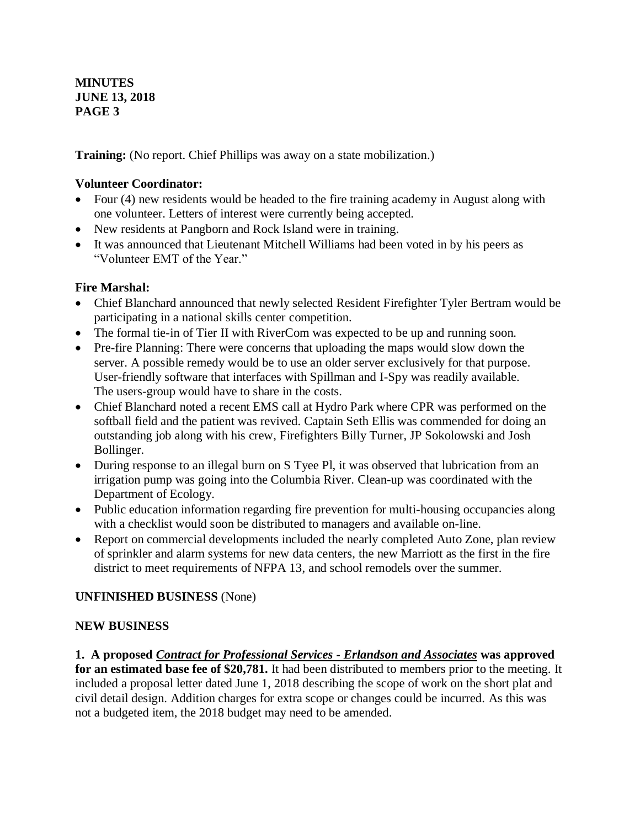**MINUTES JUNE 13, 2018 PAGE 3**

**Training:** (No report. Chief Phillips was away on a state mobilization.)

## **Volunteer Coordinator:**

- Four (4) new residents would be headed to the fire training academy in August along with one volunteer. Letters of interest were currently being accepted.
- New residents at Pangborn and Rock Island were in training.
- It was announced that Lieutenant Mitchell Williams had been voted in by his peers as "Volunteer EMT of the Year."

# **Fire Marshal:**

- Chief Blanchard announced that newly selected Resident Firefighter Tyler Bertram would be participating in a national skills center competition.
- The formal tie-in of Tier II with RiverCom was expected to be up and running soon.
- Pre-fire Planning: There were concerns that uploading the maps would slow down the server. A possible remedy would be to use an older server exclusively for that purpose. User-friendly software that interfaces with Spillman and I-Spy was readily available. The users-group would have to share in the costs.
- Chief Blanchard noted a recent EMS call at Hydro Park where CPR was performed on the softball field and the patient was revived. Captain Seth Ellis was commended for doing an outstanding job along with his crew, Firefighters Billy Turner, JP Sokolowski and Josh Bollinger.
- During response to an illegal burn on S Tyee Pl, it was observed that lubrication from an irrigation pump was going into the Columbia River. Clean-up was coordinated with the Department of Ecology.
- Public education information regarding fire prevention for multi-housing occupancies along with a checklist would soon be distributed to managers and available on-line.
- Report on commercial developments included the nearly completed Auto Zone, plan review of sprinkler and alarm systems for new data centers, the new Marriott as the first in the fire district to meet requirements of NFPA 13, and school remodels over the summer.

# **UNFINISHED BUSINESS** (None)

## **NEW BUSINESS**

**1. A proposed** *Contract for Professional Services - Erlandson and Associates* **was approved for an estimated base fee of \$20,781.** It had been distributed to members prior to the meeting. It included a proposal letter dated June 1, 2018 describing the scope of work on the short plat and civil detail design. Addition charges for extra scope or changes could be incurred. As this was not a budgeted item, the 2018 budget may need to be amended.